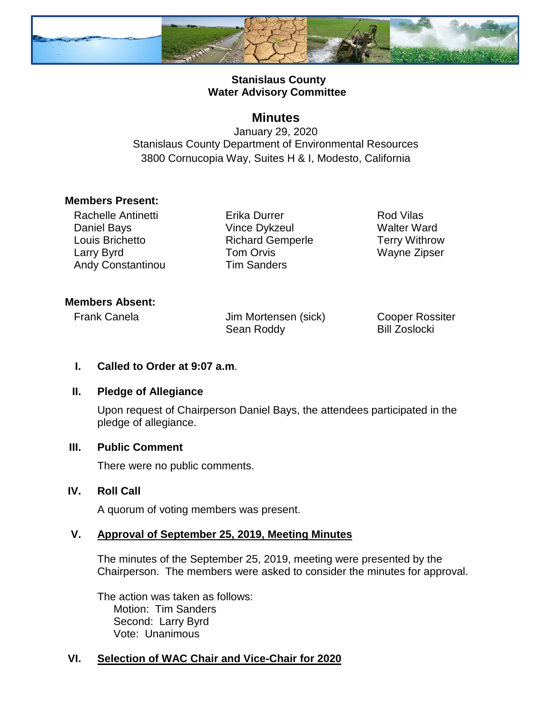

### **Stanislaus County Water Advisory Committee**

## **Minutes**

January 29, 2020 Stanislaus County Department of Environmental Resources 3800 Cornucopia Way, Suites H & I, Modesto, California

### **Members Present:**

Rachelle Antinetti Daniel Bays Louis Brichetto Larry Byrd Andy Constantinou

Erika Durrer Vince Dykzeul Richard Gemperle Tom Orvis Tim Sanders

Rod Vilas Walter Ward Terry Withrow Wayne Zipser

### **Members Absent:**

Frank Canela **Jim Mortensen** (sick) Sean Roddy

Cooper Rossiter Bill Zoslocki

### **I. Called to Order at 9:07 a.m**.

### **II. Pledge of Allegiance**

Upon request of Chairperson Daniel Bays, the attendees participated in the pledge of allegiance.

### **III. Public Comment**

There were no public comments.

### **IV. Roll Call**

A quorum of voting members was present.

### **V. Approval of September 25, 2019, Meeting Minutes**

The minutes of the September 25, 2019, meeting were presented by the Chairperson. The members were asked to consider the minutes for approval.

The action was taken as follows: Motion: Tim Sanders Second: Larry Byrd Vote: Unanimous

# **VI. Selection of WAC Chair and Vice-Chair for 2020**